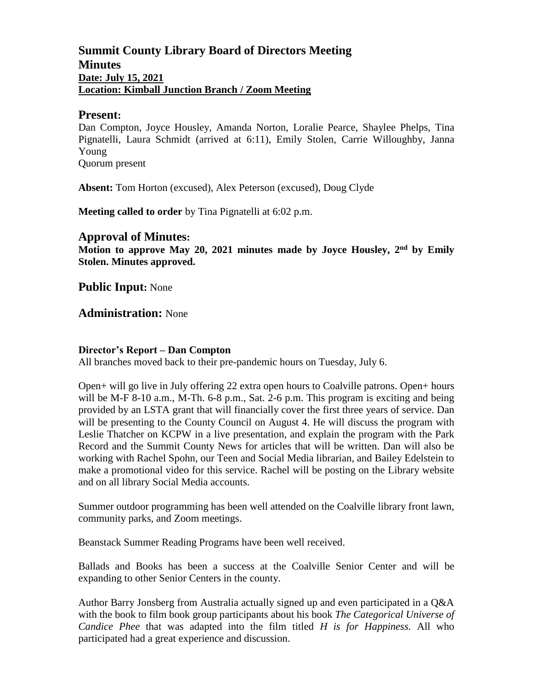## **Summit County Library Board of Directors Meeting Minutes Date: July 15, 2021 Location: Kimball Junction Branch / Zoom Meeting**

#### **Present:**

Dan Compton, Joyce Housley, Amanda Norton, Loralie Pearce, Shaylee Phelps, Tina Pignatelli, Laura Schmidt (arrived at 6:11), Emily Stolen, Carrie Willoughby, Janna Young Quorum present

**Absent:** Tom Horton (excused), Alex Peterson (excused), Doug Clyde

**Meeting called to order** by Tina Pignatelli at 6:02 p.m.

### **Approval of Minutes:**

Motion to approve May 20, 2021 minutes made by Joyce Housley, 2<sup>nd</sup> by Emily **Stolen. Minutes approved.** 

**Public Input:** None

**Administration:** None

#### **Director's Report – Dan Compton**

All branches moved back to their pre-pandemic hours on Tuesday, July 6.

Open+ will go live in July offering 22 extra open hours to Coalville patrons. Open+ hours will be M-F 8-10 a.m., M-Th. 6-8 p.m., Sat. 2-6 p.m. This program is exciting and being provided by an LSTA grant that will financially cover the first three years of service. Dan will be presenting to the County Council on August 4. He will discuss the program with Leslie Thatcher on KCPW in a live presentation, and explain the program with the Park Record and the Summit County News for articles that will be written. Dan will also be working with Rachel Spohn, our Teen and Social Media librarian, and Bailey Edelstein to make a promotional video for this service. Rachel will be posting on the Library website and on all library Social Media accounts.

Summer outdoor programming has been well attended on the Coalville library front lawn, community parks, and Zoom meetings.

Beanstack Summer Reading Programs have been well received.

Ballads and Books has been a success at the Coalville Senior Center and will be expanding to other Senior Centers in the county.

Author Barry Jonsberg from Australia actually signed up and even participated in a Q&A with the book to film book group participants about his book *The Categorical Universe of Candice Phee* that was adapted into the film titled *H is for Happiness.* All who participated had a great experience and discussion.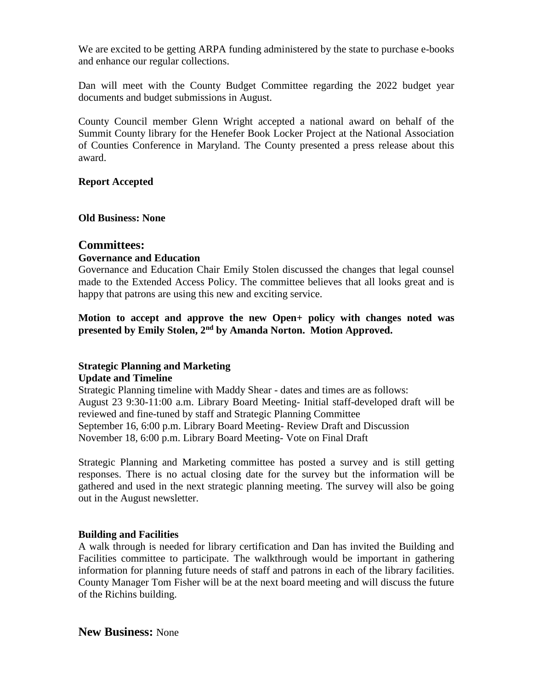We are excited to be getting ARPA funding administered by the state to purchase e-books and enhance our regular collections.

Dan will meet with the County Budget Committee regarding the 2022 budget year documents and budget submissions in August.

County Council member Glenn Wright accepted a national award on behalf of the Summit County library for the Henefer Book Locker Project at the National Association of Counties Conference in Maryland. The County presented a press release about this award.

#### **Report Accepted**

**Old Business: None**

### **Committees:**

#### **Governance and Education**

Governance and Education Chair Emily Stolen discussed the changes that legal counsel made to the Extended Access Policy. The committee believes that all looks great and is happy that patrons are using this new and exciting service.

**Motion to accept and approve the new Open+ policy with changes noted was presented by Emily Stolen, 2nd by Amanda Norton. Motion Approved.**

#### **Strategic Planning and Marketing Update and Timeline**

Strategic Planning timeline with Maddy Shear - dates and times are as follows: August 23 9:30-11:00 a.m. Library Board Meeting- Initial staff-developed draft will be reviewed and fine-tuned by staff and Strategic Planning Committee September 16, 6:00 p.m. Library Board Meeting- Review Draft and Discussion November 18, 6:00 p.m. Library Board Meeting- Vote on Final Draft

Strategic Planning and Marketing committee has posted a survey and is still getting responses. There is no actual closing date for the survey but the information will be gathered and used in the next strategic planning meeting. The survey will also be going out in the August newsletter.

#### **Building and Facilities**

A walk through is needed for library certification and Dan has invited the Building and Facilities committee to participate. The walkthrough would be important in gathering information for planning future needs of staff and patrons in each of the library facilities. County Manager Tom Fisher will be at the next board meeting and will discuss the future of the Richins building.